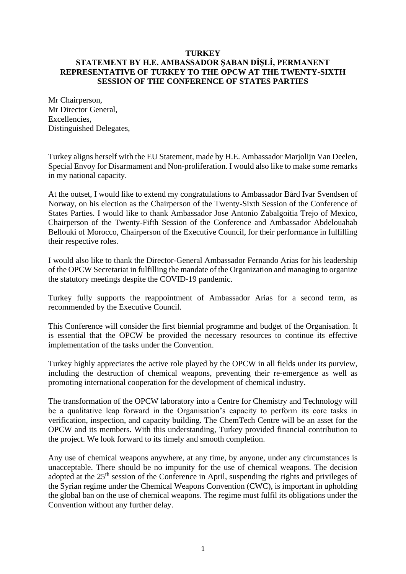## **TURKEY STATEMENT BY H.E. AMBASSADOR ŞABAN DİŞLİ, PERMANENT REPRESENTATIVE OF TURKEY TO THE OPCW AT THE TWENTY-SIXTH SESSION OF THE CONFERENCE OF STATES PARTIES**

Mr Chairperson, Mr Director General, Excellencies, Distinguished Delegates,

Turkey aligns herself with the EU Statement, made by H.E. Ambassador Marjolijn Van Deelen, Special Envoy for Disarmament and Non-proliferation. I would also like to make some remarks in my national capacity.

At the outset, I would like to extend my congratulations to Ambassador Bård Ivar Svendsen of Norway, on his election as the Chairperson of the Twenty-Sixth Session of the Conference of States Parties. I would like to thank Ambassador Jose Antonio Zabalgoitia Trejo of Mexico, Chairperson of the Twenty-Fifth Session of the Conference and Ambassador Abdelouahab Bellouki of Morocco, Chairperson of the Executive Council, for their performance in fulfilling their respective roles.

I would also like to thank the Director-General Ambassador Fernando Arias for his leadership of the OPCW Secretariat in fulfilling the mandate of the Organization and managing to organize the statutory meetings despite the COVID-19 pandemic.

Turkey fully supports the reappointment of Ambassador Arias for a second term, as recommended by the Executive Council.

This Conference will consider the first biennial programme and budget of the Organisation. It is essential that the OPCW be provided the necessary resources to continue its effective implementation of the tasks under the Convention.

Turkey highly appreciates the active role played by the OPCW in all fields under its purview, including the destruction of chemical weapons, preventing their re-emergence as well as promoting international cooperation for the development of chemical industry.

The transformation of the OPCW laboratory into a Centre for Chemistry and Technology will be a qualitative leap forward in the Organisation's capacity to perform its core tasks in verification, inspection, and capacity building. The ChemTech Centre will be an asset for the OPCW and its members. With this understanding, Turkey provided financial contribution to the project. We look forward to its timely and smooth completion.

Any use of chemical weapons anywhere, at any time, by anyone, under any circumstances is unacceptable. There should be no impunity for the use of chemical weapons. The decision adopted at the 25<sup>th</sup> session of the Conference in April, suspending the rights and privileges of the Syrian regime under the Chemical Weapons Convention (CWC), is important in upholding the global ban on the use of chemical weapons. The regime must fulfil its obligations under the Convention without any further delay.